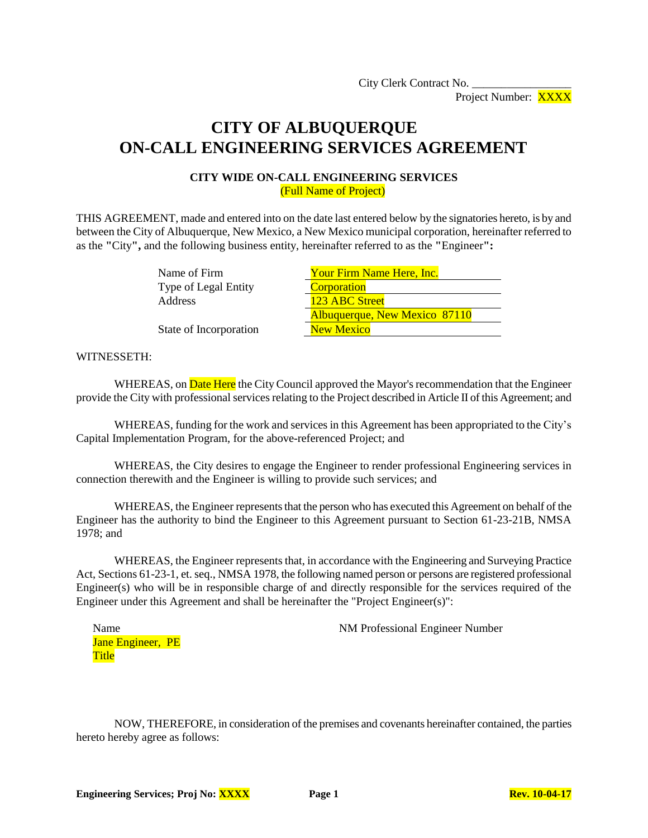City Clerk Contract No. Project Number: XXXX

# **CITY OF ALBUQUERQUE ON-CALL ENGINEERING SERVICES AGREEMENT**

#### **CITY WIDE ON-CALL ENGINEERING SERVICES** (Full Name of Project)

THIS AGREEMENT, made and entered into on the date last entered below by the signatories hereto, is by and between the City of Albuquerque, New Mexico, a New Mexico municipal corporation, hereinafter referred to as the **"**City**",** and the following business entity, hereinafter referred to as the **"**Engineer**":**

> Name of Firm Type of Legal Entity Address

| Your Firm Name Here, Inc.     |  |  |
|-------------------------------|--|--|
| Corporation                   |  |  |
| 123 ABC Street                |  |  |
| Albuquerque, New Mexico 87110 |  |  |
| <b>New Mexico</b>             |  |  |

State of Incorporation

#### WITNESSETH:

WHEREAS, on **Date Here** the City Council approved the Mayor's recommendation that the Engineer provide the City with professional services relating to the Project described in Article II of this Agreement; and

WHEREAS, funding for the work and services in this Agreement has been appropriated to the City's Capital Implementation Program, for the above-referenced Project; and

WHEREAS, the City desires to engage the Engineer to render professional Engineering services in connection therewith and the Engineer is willing to provide such services; and

WHEREAS, the Engineer represents that the person who has executed this Agreement on behalf of the Engineer has the authority to bind the Engineer to this Agreement pursuant to Section 61-23-21B, NMSA 1978; and

WHEREAS, the Engineer represents that, in accordance with the Engineering and Surveying Practice Act, Sections 61-23-1, et. seq., NMSA 1978, the following named person or persons are registered professional Engineer(s) who will be in responsible charge of and directly responsible for the services required of the Engineer under this Agreement and shall be hereinafter the "Project Engineer(s)":

| Name  |                          |  |
|-------|--------------------------|--|
|       | <b>Jane Engineer, PE</b> |  |
| Title |                          |  |

NM Professional Engineer Number

NOW, THEREFORE, in consideration of the premises and covenants hereinafter contained, the parties hereto hereby agree as follows: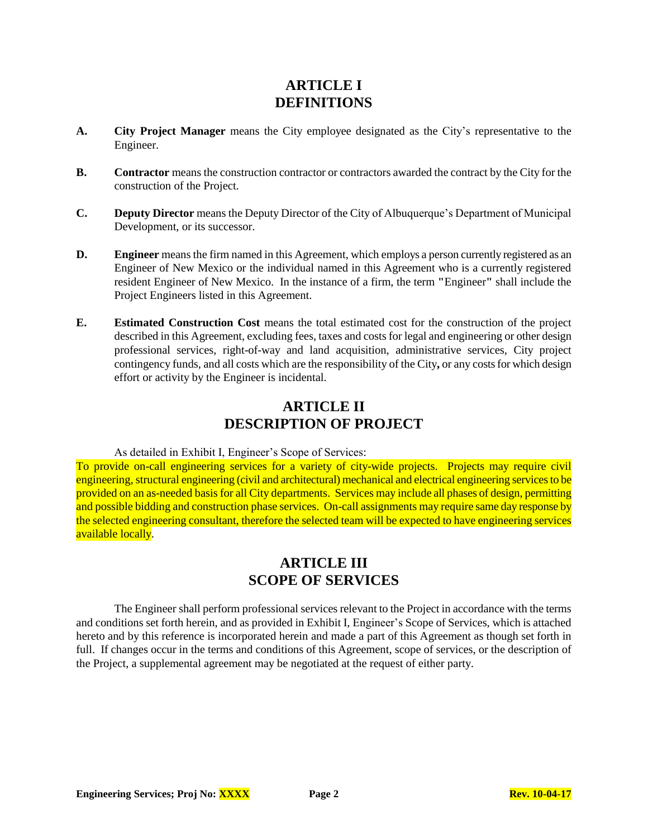### **ARTICLE I DEFINITIONS**

- **A. City Project Manager** means the City employee designated as the City's representative to the Engineer.
- **B. Contractor** means the construction contractor or contractors awarded the contract by the City for the construction of the Project.
- **C. Deputy Director** means the Deputy Director of the City of Albuquerque's Department of Municipal Development, or its successor.
- **D. Engineer** means the firm named in this Agreement, which employs a person currently registered as an Engineer of New Mexico or the individual named in this Agreement who is a currently registered resident Engineer of New Mexico. In the instance of a firm, the term **"**Engineer**"** shall include the Project Engineers listed in this Agreement.
- **E. Estimated Construction Cost** means the total estimated cost for the construction of the project described in this Agreement, excluding fees, taxes and costs for legal and engineering or other design professional services, right-of-way and land acquisition, administrative services, City project contingency funds, and all costs which are the responsibility of the City**,** or any costs for which design effort or activity by the Engineer is incidental.

### **ARTICLE II DESCRIPTION OF PROJECT**

#### As detailed in Exhibit I, Engineer's Scope of Services:

To provide on-call engineering services for a variety of city-wide projects. Projects may require civil engineering, structural engineering (civil and architectural) mechanical and electrical engineering services to be provided on an as-needed basis for all City departments. Services may include all phases of design, permitting and possible bidding and construction phase services. On-call assignments may require same day response by the selected engineering consultant, therefore the selected team will be expected to have engineering services available locally.

# **ARTICLE III SCOPE OF SERVICES**

The Engineer shall perform professional services relevant to the Project in accordance with the terms and conditions set forth herein, and as provided in Exhibit I, Engineer's Scope of Services, which is attached hereto and by this reference is incorporated herein and made a part of this Agreement as though set forth in full. If changes occur in the terms and conditions of this Agreement, scope of services, or the description of the Project, a supplemental agreement may be negotiated at the request of either party.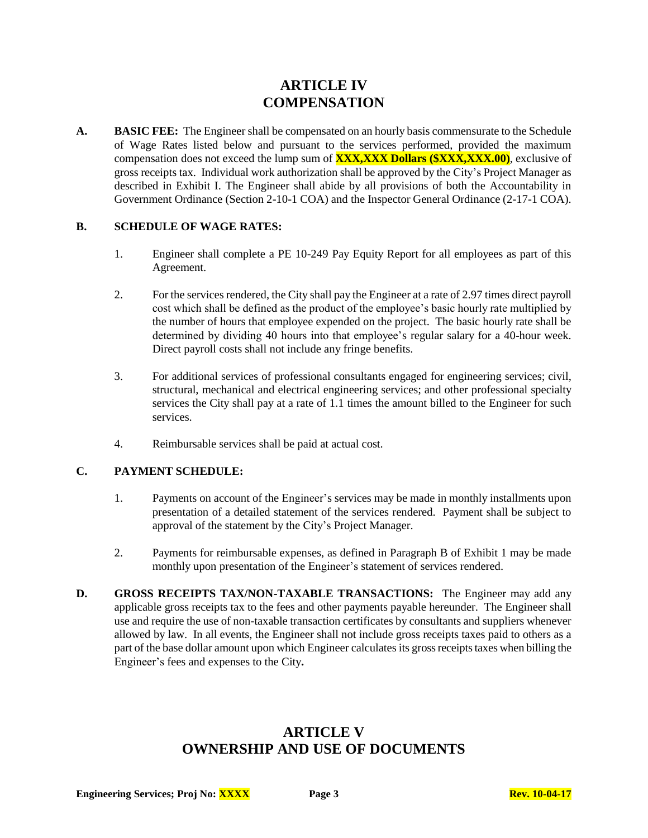### **ARTICLE IV COMPENSATION**

**A. BASIC FEE:** The Engineer shall be compensated on an hourly basis commensurate to the Schedule of Wage Rates listed below and pursuant to the services performed, provided the maximum compensation does not exceed the lump sum of **XXX,XXX Dollars (\$XXX,XXX.00)**, exclusive of gross receipts tax. Individual work authorization shall be approved by the City's Project Manager as described in Exhibit I. The Engineer shall abide by all provisions of both the Accountability in Government Ordinance (Section 2-10-1 COA) and the Inspector General Ordinance (2-17-1 COA).

#### **B. SCHEDULE OF WAGE RATES:**

- 1. Engineer shall complete a PE 10-249 Pay Equity Report for all employees as part of this Agreement.
- 2. For the services rendered, the City shall pay the Engineer at a rate of 2.97 times direct payroll cost which shall be defined as the product of the employee's basic hourly rate multiplied by the number of hours that employee expended on the project. The basic hourly rate shall be determined by dividing 40 hours into that employee's regular salary for a 40-hour week. Direct payroll costs shall not include any fringe benefits.
- 3. For additional services of professional consultants engaged for engineering services; civil, structural, mechanical and electrical engineering services; and other professional specialty services the City shall pay at a rate of 1.1 times the amount billed to the Engineer for such services.
- 4. Reimbursable services shall be paid at actual cost.

#### **C. PAYMENT SCHEDULE:**

- 1. Payments on account of the Engineer's services may be made in monthly installments upon presentation of a detailed statement of the services rendered. Payment shall be subject to approval of the statement by the City's Project Manager.
- 2. Payments for reimbursable expenses, as defined in Paragraph B of Exhibit 1 may be made monthly upon presentation of the Engineer's statement of services rendered.
- **D. GROSS RECEIPTS TAX/NON-TAXABLE TRANSACTIONS:** The Engineer may add any applicable gross receipts tax to the fees and other payments payable hereunder. The Engineer shall use and require the use of non-taxable transaction certificates by consultants and suppliers whenever allowed by law. In all events, the Engineer shall not include gross receipts taxes paid to others as a part of the base dollar amount upon which Engineer calculates its gross receipts taxes when billing the Engineer's fees and expenses to the City**.**

### **ARTICLE V OWNERSHIP AND USE OF DOCUMENTS**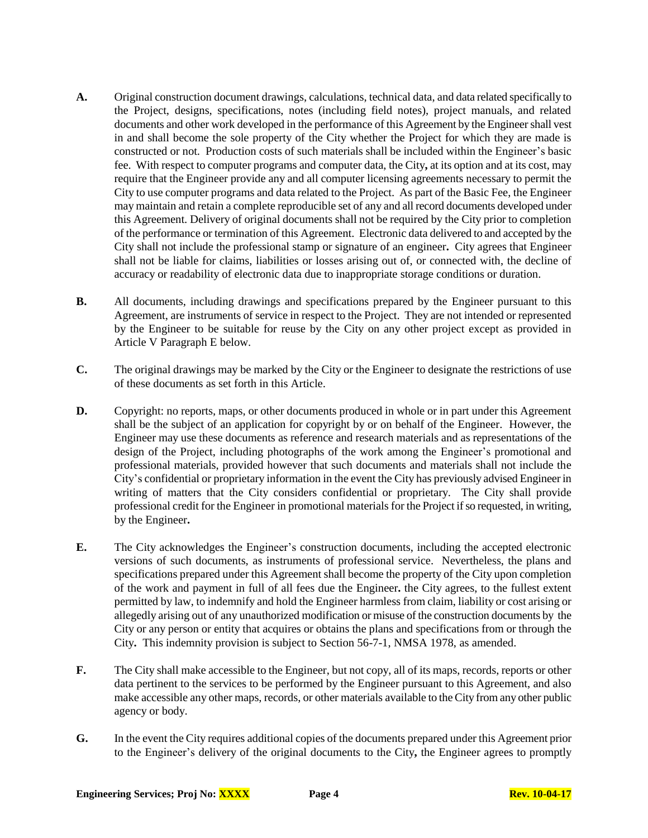- **A.** Original construction document drawings, calculations, technical data, and data related specifically to the Project, designs, specifications, notes (including field notes), project manuals, and related documents and other work developed in the performance of this Agreement by the Engineershall vest in and shall become the sole property of the City whether the Project for which they are made is constructed or not. Production costs of such materials shall be included within the Engineer's basic fee. With respect to computer programs and computer data, the City**,** at its option and at its cost, may require that the Engineer provide any and all computer licensing agreements necessary to permit the City to use computer programs and data related to the Project. As part of the Basic Fee, the Engineer may maintain and retain a complete reproducible set of any and all record documents developed under this Agreement. Delivery of original documents shall not be required by the City prior to completion of the performance or termination of this Agreement. Electronic data delivered to and accepted by the City shall not include the professional stamp or signature of an engineer**.** City agrees that Engineer shall not be liable for claims, liabilities or losses arising out of, or connected with, the decline of accuracy or readability of electronic data due to inappropriate storage conditions or duration.
- **B.** All documents, including drawings and specifications prepared by the Engineer pursuant to this Agreement, are instruments of service in respect to the Project. They are not intended or represented by the Engineer to be suitable for reuse by the City on any other project except as provided in Article V Paragraph E below.
- **C.** The original drawings may be marked by the City or the Engineer to designate the restrictions of use of these documents as set forth in this Article.
- **D.** Copyright: no reports, maps, or other documents produced in whole or in part under this Agreement shall be the subject of an application for copyright by or on behalf of the Engineer. However, the Engineer may use these documents as reference and research materials and as representations of the design of the Project, including photographs of the work among the Engineer's promotional and professional materials, provided however that such documents and materials shall not include the City's confidential or proprietary information in the event the City has previously advised Engineer in writing of matters that the City considers confidential or proprietary. The City shall provide professional credit for the Engineer in promotional materials for the Project if so requested, in writing, by the Engineer**.**
- **E.** The City acknowledges the Engineer's construction documents, including the accepted electronic versions of such documents, as instruments of professional service. Nevertheless, the plans and specifications prepared under this Agreement shall become the property of the City upon completion of the work and payment in full of all fees due the Engineer**.** the City agrees, to the fullest extent permitted by law, to indemnify and hold the Engineer harmless from claim, liability or cost arising or allegedly arising out of any unauthorized modification or misuse of the construction documents by the City or any person or entity that acquires or obtains the plans and specifications from or through the City**.** This indemnity provision is subject to Section 56-7-1, NMSA 1978, as amended.
- **F.** The City shall make accessible to the Engineer, but not copy, all of its maps, records, reports or other data pertinent to the services to be performed by the Engineer pursuant to this Agreement, and also make accessible any other maps, records, or other materials available to the City from any other public agency or body.
- **G.** In the event the City requires additional copies of the documents prepared under this Agreement prior to the Engineer's delivery of the original documents to the City**,** the Engineer agrees to promptly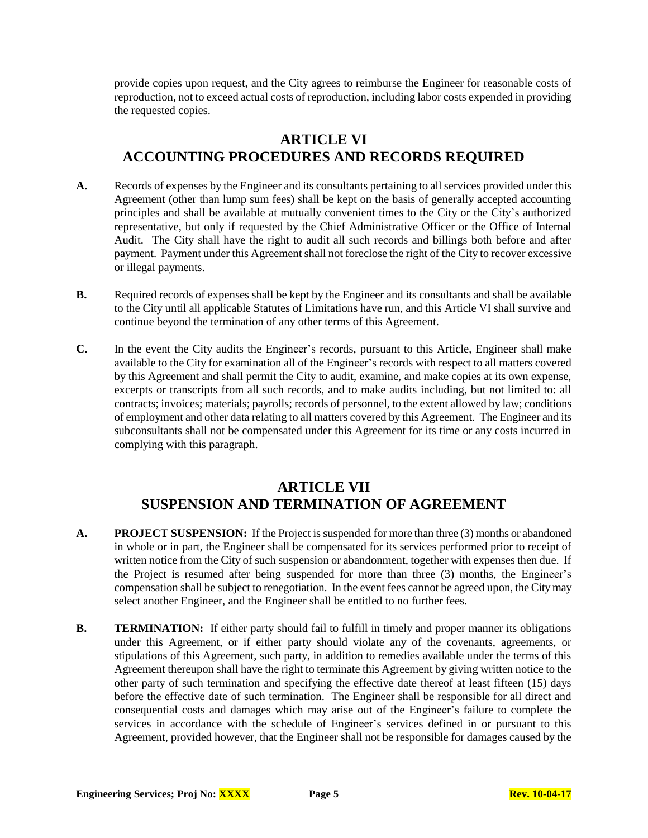provide copies upon request, and the City agrees to reimburse the Engineer for reasonable costs of reproduction, not to exceed actual costs of reproduction, including labor costs expended in providing the requested copies.

# **ARTICLE VI ACCOUNTING PROCEDURES AND RECORDS REQUIRED**

- **A.** Records of expenses by the Engineer and its consultants pertaining to all services provided under this Agreement (other than lump sum fees) shall be kept on the basis of generally accepted accounting principles and shall be available at mutually convenient times to the City or the City's authorized representative, but only if requested by the Chief Administrative Officer or the Office of Internal Audit. The City shall have the right to audit all such records and billings both before and after payment. Payment under this Agreement shall not foreclose the right of the City to recover excessive or illegal payments.
- **B.** Required records of expenses shall be kept by the Engineer and its consultants and shall be available to the City until all applicable Statutes of Limitations have run, and this Article VI shall survive and continue beyond the termination of any other terms of this Agreement.
- **C.** In the event the City audits the Engineer's records, pursuant to this Article, Engineer shall make available to the City for examination all of the Engineer's records with respect to all matters covered by this Agreement and shall permit the City to audit, examine, and make copies at its own expense, excerpts or transcripts from all such records, and to make audits including, but not limited to: all contracts; invoices; materials; payrolls; records of personnel, to the extent allowed by law; conditions of employment and other data relating to all matters covered by this Agreement. The Engineer and its subconsultants shall not be compensated under this Agreement for its time or any costs incurred in complying with this paragraph.

### **ARTICLE VII SUSPENSION AND TERMINATION OF AGREEMENT**

- **A. PROJECT SUSPENSION:** If the Project is suspended for more than three (3) months or abandoned in whole or in part, the Engineer shall be compensated for its services performed prior to receipt of written notice from the City of such suspension or abandonment, together with expenses then due. If the Project is resumed after being suspended for more than three (3) months, the Engineer's compensation shall be subject to renegotiation. In the event fees cannot be agreed upon, the Citymay select another Engineer, and the Engineer shall be entitled to no further fees.
- **B. TERMINATION:** If either party should fail to fulfill in timely and proper manner its obligations under this Agreement, or if either party should violate any of the covenants, agreements, or stipulations of this Agreement, such party, in addition to remedies available under the terms of this Agreement thereupon shall have the right to terminate this Agreement by giving written notice to the other party of such termination and specifying the effective date thereof at least fifteen (15) days before the effective date of such termination. The Engineer shall be responsible for all direct and consequential costs and damages which may arise out of the Engineer's failure to complete the services in accordance with the schedule of Engineer's services defined in or pursuant to this Agreement, provided however, that the Engineer shall not be responsible for damages caused by the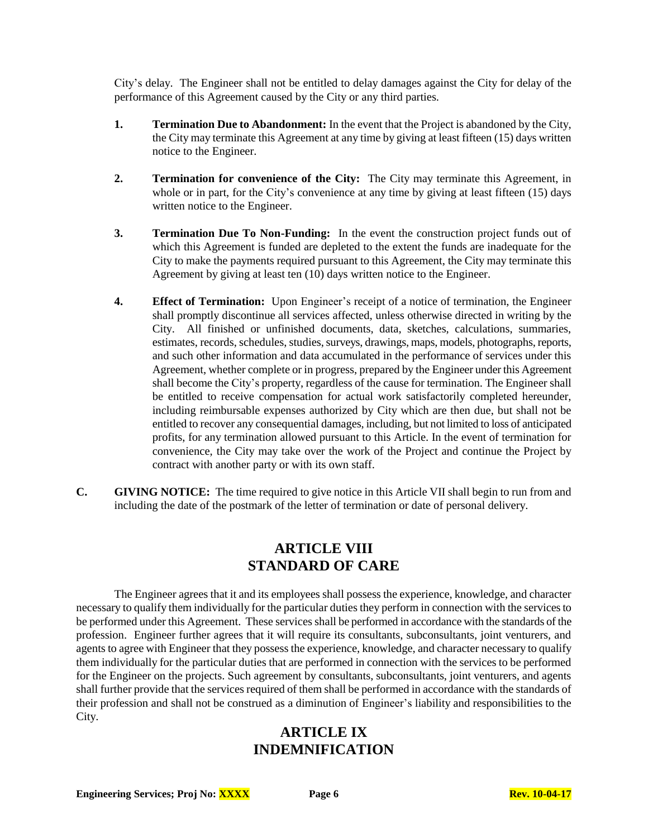City's delay. The Engineer shall not be entitled to delay damages against the City for delay of the performance of this Agreement caused by the City or any third parties.

- **1. Termination Due to Abandonment:** In the event that the Project is abandoned by the City, the City may terminate this Agreement at any time by giving at least fifteen (15) days written notice to the Engineer.
- **2. Termination for convenience of the City:** The City may terminate this Agreement, in whole or in part, for the City's convenience at any time by giving at least fifteen (15) days written notice to the Engineer.
- **3. Termination Due To Non-Funding:** In the event the construction project funds out of which this Agreement is funded are depleted to the extent the funds are inadequate for the City to make the payments required pursuant to this Agreement, the City may terminate this Agreement by giving at least ten (10) days written notice to the Engineer.
- **4. Effect of Termination:** Upon Engineer's receipt of a notice of termination, the Engineer shall promptly discontinue all services affected, unless otherwise directed in writing by the City. All finished or unfinished documents, data, sketches, calculations, summaries, estimates, records, schedules, studies, surveys, drawings, maps, models, photographs, reports, and such other information and data accumulated in the performance of services under this Agreement, whether complete or in progress, prepared by the Engineer under this Agreement shall become the City's property, regardless of the cause for termination. The Engineer shall be entitled to receive compensation for actual work satisfactorily completed hereunder, including reimbursable expenses authorized by City which are then due, but shall not be entitled to recover any consequential damages, including, but not limited to loss of anticipated profits, for any termination allowed pursuant to this Article. In the event of termination for convenience, the City may take over the work of the Project and continue the Project by contract with another party or with its own staff.
- **C. GIVING NOTICE:** The time required to give notice in this Article VII shall begin to run from and including the date of the postmark of the letter of termination or date of personal delivery.

# **ARTICLE VIII STANDARD OF CARE**

The Engineer agrees that it and its employees shall possess the experience, knowledge, and character necessary to qualify them individually for the particular duties they perform in connection with the services to be performed under this Agreement. These services shall be performed in accordance with the standards of the profession. Engineer further agrees that it will require its consultants, subconsultants, joint venturers, and agents to agree with Engineer that they possess the experience, knowledge, and character necessary to qualify them individually for the particular duties that are performed in connection with the services to be performed for the Engineer on the projects. Such agreement by consultants, subconsultants, joint venturers, and agents shall further provide that the services required of them shall be performed in accordance with the standards of their profession and shall not be construed as a diminution of Engineer's liability and responsibilities to the City.

# **ARTICLE IX INDEMNIFICATION**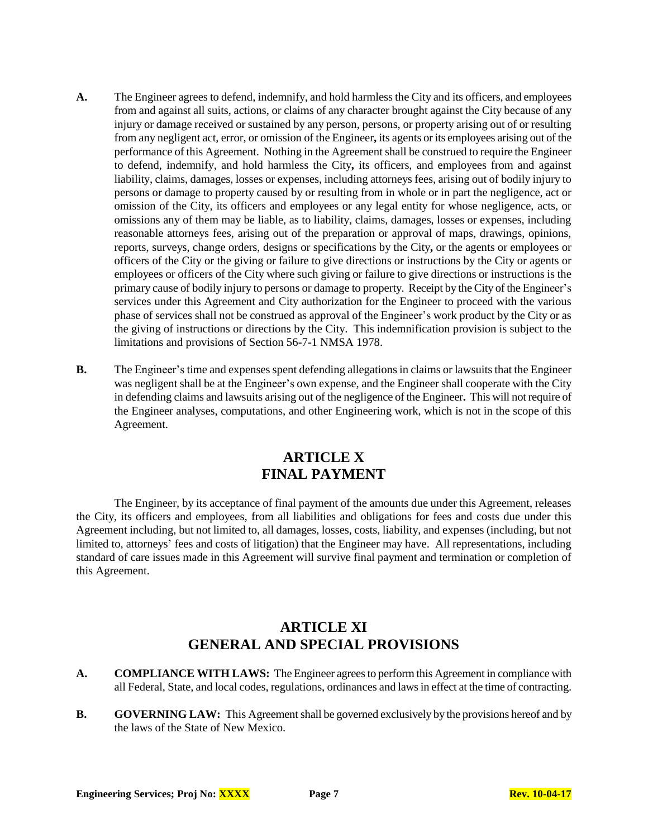- **A.** The Engineer agrees to defend, indemnify, and hold harmless the City and its officers, and employees from and against all suits, actions, or claims of any character brought against the City because of any injury or damage received or sustained by any person, persons, or property arising out of or resulting from any negligent act, error, or omission of the Engineer**,** its agents or its employees arising out of the performance of this Agreement. Nothing in the Agreement shall be construed to require the Engineer to defend, indemnify, and hold harmless the City**,** its officers, and employees from and against liability, claims, damages, losses or expenses, including attorneys fees, arising out of bodily injury to persons or damage to property caused by or resulting from in whole or in part the negligence, act or omission of the City, its officers and employees or any legal entity for whose negligence, acts, or omissions any of them may be liable, as to liability, claims, damages, losses or expenses, including reasonable attorneys fees, arising out of the preparation or approval of maps, drawings, opinions, reports, surveys, change orders, designs or specifications by the City**,** or the agents or employees or officers of the City or the giving or failure to give directions or instructions by the City or agents or employees or officers of the City where such giving or failure to give directions or instructions is the primary cause of bodily injury to persons or damage to property. Receipt by the City of the Engineer's services under this Agreement and City authorization for the Engineer to proceed with the various phase of services shall not be construed as approval of the Engineer's work product by the City or as the giving of instructions or directions by the City. This indemnification provision is subject to the limitations and provisions of Section 56-7-1 NMSA 1978.
- **B.** The Engineer's time and expenses spent defending allegations in claims or lawsuits that the Engineer was negligent shall be at the Engineer's own expense, and the Engineer shall cooperate with the City in defending claims and lawsuits arising out of the negligence of the Engineer**.** This will not require of the Engineer analyses, computations, and other Engineering work, which is not in the scope of this Agreement.

### **ARTICLE X FINAL PAYMENT**

The Engineer, by its acceptance of final payment of the amounts due under this Agreement, releases the City, its officers and employees, from all liabilities and obligations for fees and costs due under this Agreement including, but not limited to, all damages, losses, costs, liability, and expenses (including, but not limited to, attorneys' fees and costs of litigation) that the Engineer may have. All representations, including standard of care issues made in this Agreement will survive final payment and termination or completion of this Agreement.

### **ARTICLE XI GENERAL AND SPECIAL PROVISIONS**

- **A. COMPLIANCE WITH LAWS:** The Engineer agrees to perform this Agreement in compliance with all Federal, State, and local codes, regulations, ordinances and laws in effect at the time of contracting.
- **B. GOVERNING LAW:** This Agreement shall be governed exclusively by the provisions hereof and by the laws of the State of New Mexico.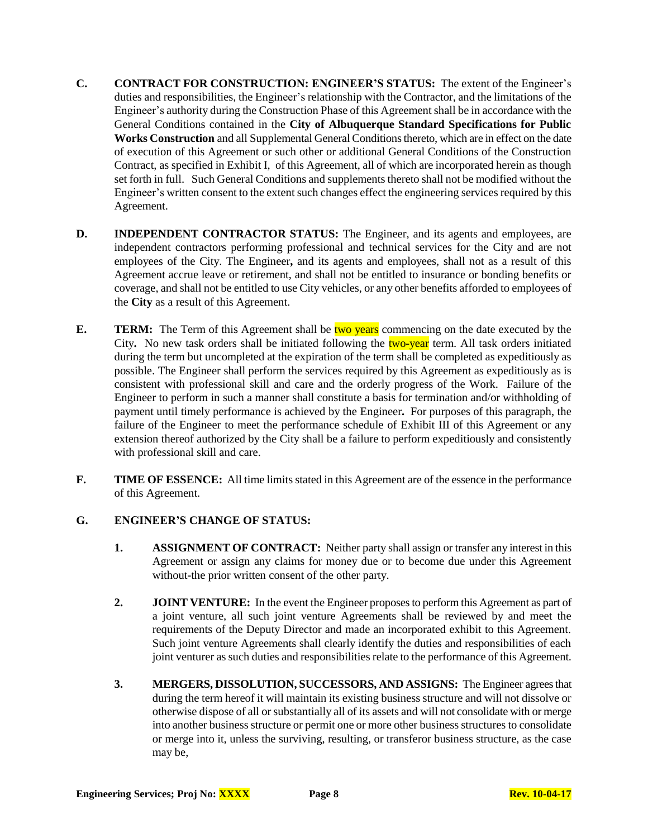- **C. CONTRACT FOR CONSTRUCTION: ENGINEER'S STATUS:** The extent of the Engineer's duties and responsibilities, the Engineer's relationship with the Contractor, and the limitations of the Engineer's authority during the Construction Phase of this Agreement shall be in accordance with the General Conditions contained in the **City of Albuquerque Standard Specifications for Public Works Construction** and all Supplemental General Conditions thereto, which are in effect on the date of execution of this Agreement or such other or additional General Conditions of the Construction Contract, as specified in Exhibit I, of this Agreement, all of which are incorporated herein as though set forth in full. Such General Conditions and supplements thereto shall not be modified without the Engineer's written consent to the extent such changes effect the engineering services required by this Agreement.
- **D. INDEPENDENT CONTRACTOR STATUS:** The Engineer, and its agents and employees, are independent contractors performing professional and technical services for the City and are not employees of the City. The Engineer**,** and its agents and employees, shall not as a result of this Agreement accrue leave or retirement, and shall not be entitled to insurance or bonding benefits or coverage, and shall not be entitled to use City vehicles, or any other benefits afforded to employees of the **City** as a result of this Agreement.
- **E. TERM:** The Term of this Agreement shall be two years commencing on the date executed by the City. No new task orders shall be initiated following the **two-year** term. All task orders initiated during the term but uncompleted at the expiration of the term shall be completed as expeditiously as possible. The Engineer shall perform the services required by this Agreement as expeditiously as is consistent with professional skill and care and the orderly progress of the Work. Failure of the Engineer to perform in such a manner shall constitute a basis for termination and/or withholding of payment until timely performance is achieved by the Engineer**.** For purposes of this paragraph, the failure of the Engineer to meet the performance schedule of Exhibit III of this Agreement or any extension thereof authorized by the City shall be a failure to perform expeditiously and consistently with professional skill and care.
- **F. TIME OF ESSENCE:** All time limits stated in this Agreement are of the essence in the performance of this Agreement.

#### **G. ENGINEER'S CHANGE OF STATUS:**

- **1. ASSIGNMENT OF CONTRACT:** Neither party shall assign or transfer any interest in this Agreement or assign any claims for money due or to become due under this Agreement without-the prior written consent of the other party.
- **2. JOINT VENTURE:** In the event the Engineer proposes to perform this Agreement as part of a joint venture, all such joint venture Agreements shall be reviewed by and meet the requirements of the Deputy Director and made an incorporated exhibit to this Agreement. Such joint venture Agreements shall clearly identify the duties and responsibilities of each joint venturer as such duties and responsibilities relate to the performance of this Agreement.
- **3. MERGERS, DISSOLUTION, SUCCESSORS, AND ASSIGNS:** The Engineer agrees that during the term hereof it will maintain its existing business structure and will not dissolve or otherwise dispose of all or substantially all of its assets and will not consolidate with or merge into another business structure or permit one or more other business structures to consolidate or merge into it, unless the surviving, resulting, or transferor business structure, as the case may be,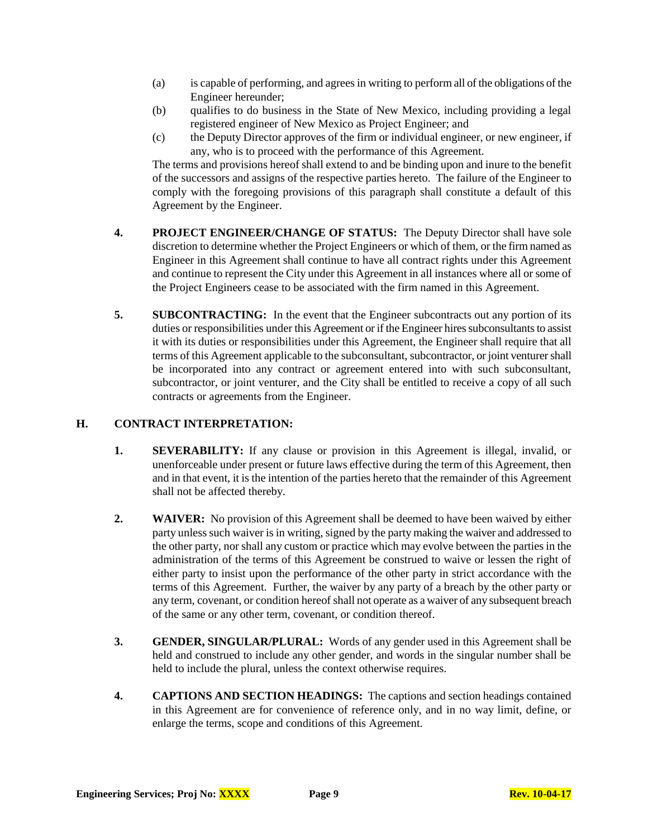- (a) is capable of performing, and agrees in writing to perform all of the obligations of the Engineer hereunder;
- (b) qualifies to do business in the State of New Mexico, including providing a legal registered engineer of New Mexico as Project Engineer; and
- (c) the Deputy Director approves of the firm or individual engineer, or new engineer, if any, who is to proceed with the performance of this Agreement.

The terms and provisions hereof shall extend to and be binding upon and inure to the benefit of the successors and assigns of the respective parties hereto. The failure of the Engineer to comply with the foregoing provisions of this paragraph shall constitute a default of this Agreement by the Engineer.

- **4. PROJECT ENGINEER/CHANGE OF STATUS:** The Deputy Director shall have sole discretion to determine whether the Project Engineers or which of them, or the firm named as Engineer in this Agreement shall continue to have all contract rights under this Agreement and continue to represent the City under this Agreement in all instances where all or some of the Project Engineers cease to be associated with the firm named in this Agreement.
- **5. SUBCONTRACTING:** In the event that the Engineer subcontracts out any portion of its duties or responsibilities under this Agreement or if the Engineer hires subconsultants to assist it with its duties or responsibilities under this Agreement, the Engineer shall require that all terms of this Agreement applicable to the subconsultant, subcontractor, or joint venturer shall be incorporated into any contract or agreement entered into with such subconsultant, subcontractor, or joint venturer, and the City shall be entitled to receive a copy of all such contracts or agreements from the Engineer.

#### **H. CONTRACT INTERPRETATION:**

- **1. SEVERABILITY:** If any clause or provision in this Agreement is illegal, invalid, or unenforceable under present or future laws effective during the term of this Agreement, then and in that event, it is the intention of the parties hereto that the remainder of this Agreement shall not be affected thereby.
- **2. WAIVER:** No provision of this Agreement shall be deemed to have been waived by either party unless such waiver is in writing, signed by the party making the waiver and addressed to the other party, nor shall any custom or practice which may evolve between the parties in the administration of the terms of this Agreement be construed to waive or lessen the right of either party to insist upon the performance of the other party in strict accordance with the terms of this Agreement. Further, the waiver by any party of a breach by the other party or any term, covenant, or condition hereof shall not operate as a waiver of any subsequent breach of the same or any other term, covenant, or condition thereof.
- **3. GENDER, SINGULAR/PLURAL:** Words of any gender used in this Agreement shall be held and construed to include any other gender, and words in the singular number shall be held to include the plural, unless the context otherwise requires.
- **4. CAPTIONS AND SECTION HEADINGS:** The captions and section headings contained in this Agreement are for convenience of reference only, and in no way limit, define, or enlarge the terms, scope and conditions of this Agreement.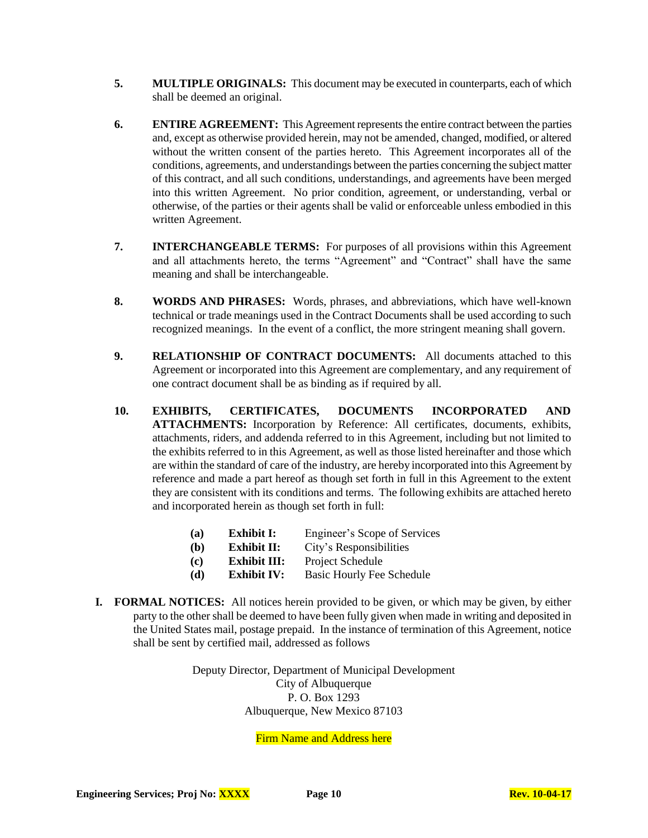- **5. MULTIPLE ORIGINALS:** This document may be executed in counterparts, each of which shall be deemed an original.
- **6. ENTIRE AGREEMENT:** This Agreement represents the entire contract between the parties and, except as otherwise provided herein, may not be amended, changed, modified, or altered without the written consent of the parties hereto. This Agreement incorporates all of the conditions, agreements, and understandings between the parties concerning the subject matter of this contract, and all such conditions, understandings, and agreements have been merged into this written Agreement. No prior condition, agreement, or understanding, verbal or otherwise, of the parties or their agents shall be valid or enforceable unless embodied in this written Agreement.
- **7. INTERCHANGEABLE TERMS:** For purposes of all provisions within this Agreement and all attachments hereto, the terms "Agreement" and "Contract" shall have the same meaning and shall be interchangeable.
- **8. WORDS AND PHRASES:** Words, phrases, and abbreviations, which have well-known technical or trade meanings used in the Contract Documents shall be used according to such recognized meanings. In the event of a conflict, the more stringent meaning shall govern.
- **9. RELATIONSHIP OF CONTRACT DOCUMENTS:** All documents attached to this Agreement or incorporated into this Agreement are complementary, and any requirement of one contract document shall be as binding as if required by all.
- **10. EXHIBITS, CERTIFICATES, DOCUMENTS INCORPORATED AND ATTACHMENTS:** Incorporation by Reference: All certificates, documents, exhibits, attachments, riders, and addenda referred to in this Agreement, including but not limited to the exhibits referred to in this Agreement, as well as those listed hereinafter and those which are within the standard of care of the industry, are hereby incorporated into this Agreement by reference and made a part hereof as though set forth in full in this Agreement to the extent they are consistent with its conditions and terms. The following exhibits are attached hereto and incorporated herein as though set forth in full:
	- **(a) Exhibit I:** Engineer's Scope of Services
	- **(b) Exhibit II:** City's Responsibilities
	- **(c) Exhibit III:** Project Schedule
	- **(d) Exhibit IV:** Basic Hourly Fee Schedule
- **I. FORMAL NOTICES:** All notices herein provided to be given, or which may be given, by either party to the other shall be deemed to have been fully given when made in writing and deposited in the United States mail, postage prepaid. In the instance of termination of this Agreement, notice shall be sent by certified mail, addressed as follows

Deputy Director, Department of Municipal Development City of Albuquerque P. O. Box 1293 Albuquerque, New Mexico 87103

Firm Name and Address here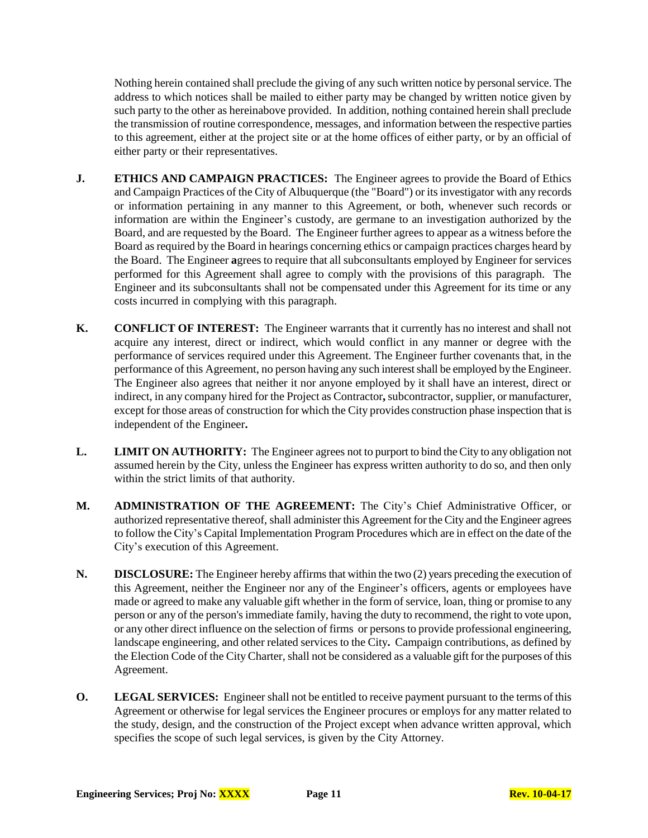Nothing herein contained shall preclude the giving of any such written notice by personal service. The address to which notices shall be mailed to either party may be changed by written notice given by such party to the other as hereinabove provided. In addition, nothing contained herein shall preclude the transmission of routine correspondence, messages, and information between the respective parties to this agreement, either at the project site or at the home offices of either party, or by an official of either party or their representatives.

- **J. ETHICS AND CAMPAIGN PRACTICES:** The Engineer agrees to provide the Board of Ethics and Campaign Practices of the City of Albuquerque (the "Board") or its investigator with any records or information pertaining in any manner to this Agreement, or both, whenever such records or information are within the Engineer's custody, are germane to an investigation authorized by the Board, and are requested by the Board. The Engineer further agrees to appear as a witness before the Board as required by the Board in hearings concerning ethics or campaign practices charges heard by the Board. The Engineer **a**grees to require that all subconsultants employed by Engineer for services performed for this Agreement shall agree to comply with the provisions of this paragraph. The Engineer and its subconsultants shall not be compensated under this Agreement for its time or any costs incurred in complying with this paragraph.
- **K. CONFLICT OF INTEREST:** The Engineer warrants that it currently has no interest and shall not acquire any interest, direct or indirect, which would conflict in any manner or degree with the performance of services required under this Agreement. The Engineer further covenants that, in the performance of this Agreement, no person having any such interest shall be employed by the Engineer. The Engineer also agrees that neither it nor anyone employed by it shall have an interest, direct or indirect, in any company hired for the Project as Contractor**,** subcontractor, supplier, or manufacturer, except for those areas of construction for which the City provides construction phase inspection that is independent of the Engineer**.**
- **L. LIMIT ON AUTHORITY:** The Engineer agrees not to purport to bind the City to any obligation not assumed herein by the City, unless the Engineer has express written authority to do so, and then only within the strict limits of that authority.
- **M. ADMINISTRATION OF THE AGREEMENT:** The City's Chief Administrative Officer, or authorized representative thereof, shall administer this Agreement for the City and the Engineer agrees to follow the City's Capital Implementation Program Procedures which are in effect on the date of the City's execution of this Agreement.
- **N. DISCLOSURE:** The Engineer hereby affirms that within the two (2) years preceding the execution of this Agreement, neither the Engineer nor any of the Engineer's officers, agents or employees have made or agreed to make any valuable gift whether in the form of service, loan, thing or promise to any person or any of the person's immediate family, having the duty to recommend, the right to vote upon, or any other direct influence on the selection of firms or persons to provide professional engineering, landscape engineering, and other related services to the City**.** Campaign contributions, as defined by the Election Code of the City Charter, shall not be considered as a valuable gift for the purposes of this Agreement.
- **O. LEGAL SERVICES:** Engineer shall not be entitled to receive payment pursuant to the terms of this Agreement or otherwise for legal services the Engineer procures or employs for any matter related to the study, design, and the construction of the Project except when advance written approval, which specifies the scope of such legal services, is given by the City Attorney.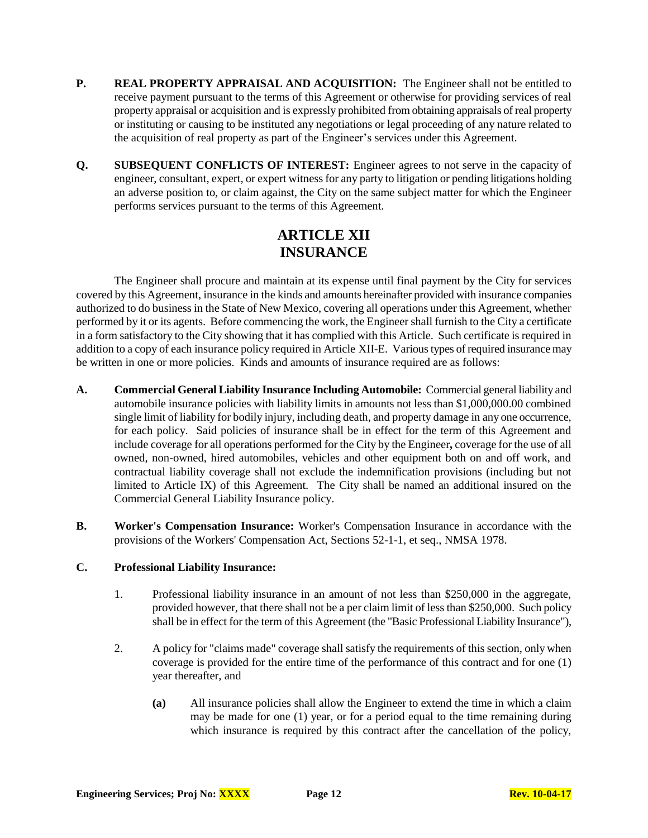- **P. REAL PROPERTY APPRAISAL AND ACQUISITION:** The Engineer shall not be entitled to receive payment pursuant to the terms of this Agreement or otherwise for providing services of real property appraisal or acquisition and is expressly prohibited from obtaining appraisals of real property or instituting or causing to be instituted any negotiations or legal proceeding of any nature related to the acquisition of real property as part of the Engineer's services under this Agreement.
- **Q. SUBSEQUENT CONFLICTS OF INTEREST:** Engineer agrees to not serve in the capacity of engineer, consultant, expert, or expert witness for any party to litigation or pending litigations holding an adverse position to, or claim against, the City on the same subject matter for which the Engineer performs services pursuant to the terms of this Agreement.

### **ARTICLE XII INSURANCE**

The Engineer shall procure and maintain at its expense until final payment by the City for services covered by this Agreement, insurance in the kinds and amounts hereinafter provided with insurance companies authorized to do business in the State of New Mexico, covering all operations under this Agreement, whether performed by it or its agents. Before commencing the work, the Engineer shall furnish to the City a certificate in a form satisfactory to the City showing that it has complied with this Article. Such certificate is required in addition to a copy of each insurance policy required in Article XII-E. Various types of required insurance may be written in one or more policies. Kinds and amounts of insurance required are as follows:

- **A. Commercial General Liability Insurance Including Automobile:** Commercial general liability and automobile insurance policies with liability limits in amounts not less than \$1,000,000.00 combined single limit of liability for bodily injury, including death, and property damage in any one occurrence, for each policy. Said policies of insurance shall be in effect for the term of this Agreement and include coverage for all operations performed for the City by the Engineer**,** coverage for the use of all owned, non-owned, hired automobiles, vehicles and other equipment both on and off work, and contractual liability coverage shall not exclude the indemnification provisions (including but not limited to Article IX) of this Agreement. The City shall be named an additional insured on the Commercial General Liability Insurance policy.
- **B. Worker's Compensation Insurance:** Worker's Compensation Insurance in accordance with the provisions of the Workers' Compensation Act, Sections 52-1-1, et seq., NMSA 1978.

#### **C. Professional Liability Insurance:**

- 1. Professional liability insurance in an amount of not less than \$250,000 in the aggregate, provided however, that there shall not be a per claim limit of less than \$250,000. Such policy shall be in effect for the term of this Agreement (the "Basic Professional Liability Insurance"),
- 2. A policy for "claims made" coverage shall satisfy the requirements of this section, only when coverage is provided for the entire time of the performance of this contract and for one (1) year thereafter, and
	- **(a)** All insurance policies shall allow the Engineer to extend the time in which a claim may be made for one (1) year, or for a period equal to the time remaining during which insurance is required by this contract after the cancellation of the policy,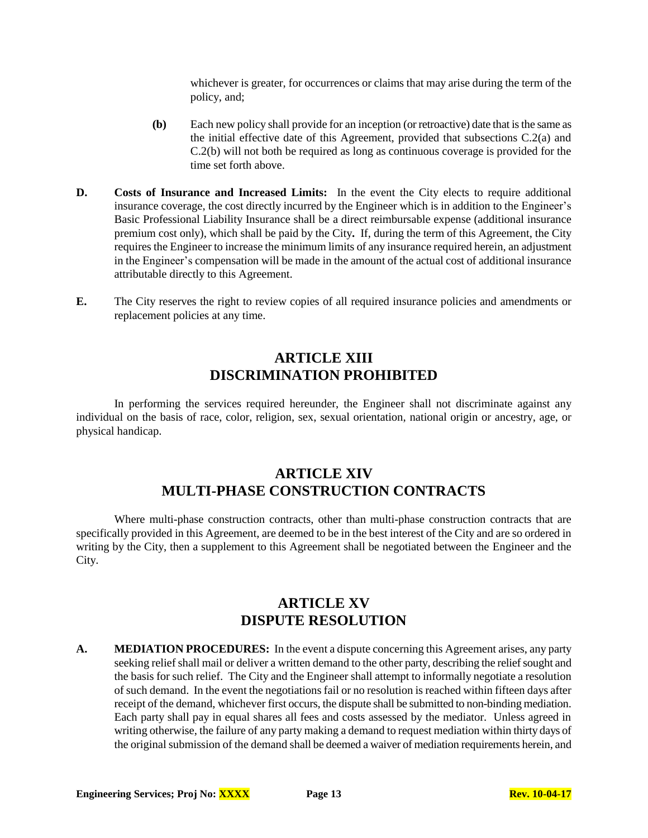whichever is greater, for occurrences or claims that may arise during the term of the policy, and;

- **(b)** Each new policy shall provide for an inception (or retroactive) date that is the same as the initial effective date of this Agreement, provided that subsections C.2(a) and C.2(b) will not both be required as long as continuous coverage is provided for the time set forth above.
- **D. Costs of Insurance and Increased Limits:** In the event the City elects to require additional insurance coverage, the cost directly incurred by the Engineer which is in addition to the Engineer's Basic Professional Liability Insurance shall be a direct reimbursable expense (additional insurance premium cost only), which shall be paid by the City**.** If, during the term of this Agreement, the City requires the Engineer to increase the minimum limits of any insurance required herein, an adjustment in the Engineer's compensation will be made in the amount of the actual cost of additional insurance attributable directly to this Agreement.
- **E.** The City reserves the right to review copies of all required insurance policies and amendments or replacement policies at any time.

### **ARTICLE XIII DISCRIMINATION PROHIBITED**

In performing the services required hereunder, the Engineer shall not discriminate against any individual on the basis of race, color, religion, sex, sexual orientation, national origin or ancestry, age, or physical handicap.

### **ARTICLE XIV MULTI-PHASE CONSTRUCTION CONTRACTS**

Where multi-phase construction contracts, other than multi-phase construction contracts that are specifically provided in this Agreement, are deemed to be in the best interest of the City and are so ordered in writing by the City, then a supplement to this Agreement shall be negotiated between the Engineer and the City.

# **ARTICLE XV DISPUTE RESOLUTION**

**A. MEDIATION PROCEDURES:** In the event a dispute concerning this Agreement arises, any party seeking relief shall mail or deliver a written demand to the other party, describing the relief sought and the basis for such relief. The City and the Engineer shall attempt to informally negotiate a resolution of such demand. In the event the negotiations fail or no resolution is reached within fifteen days after receipt of the demand, whichever first occurs, the dispute shall be submitted to non-binding mediation. Each party shall pay in equal shares all fees and costs assessed by the mediator. Unless agreed in writing otherwise, the failure of any party making a demand to request mediation within thirty days of the original submission of the demand shall be deemed a waiver of mediation requirements herein, and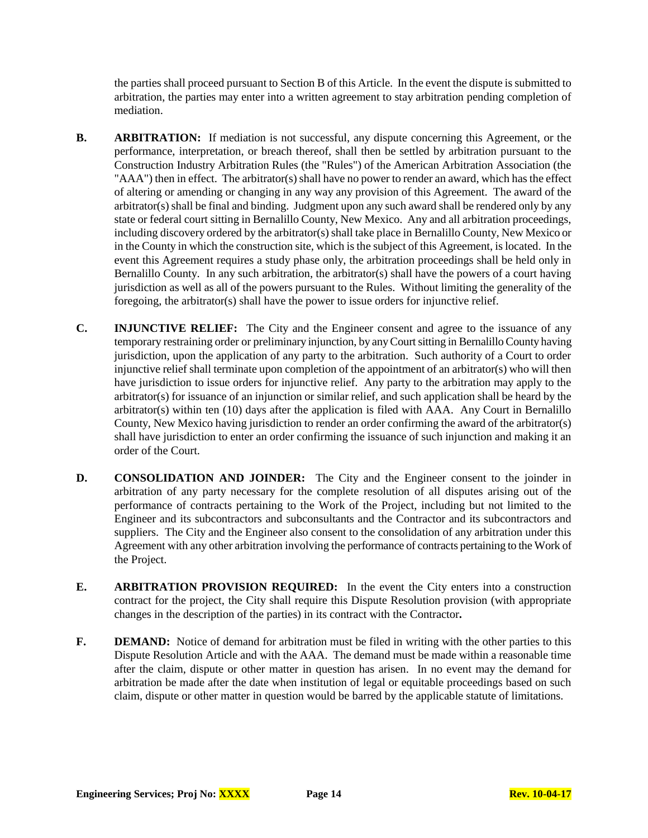the parties shall proceed pursuant to Section B of this Article. In the event the dispute is submitted to arbitration, the parties may enter into a written agreement to stay arbitration pending completion of mediation.

- **B. ARBITRATION:** If mediation is not successful, any dispute concerning this Agreement, or the performance, interpretation, or breach thereof, shall then be settled by arbitration pursuant to the Construction Industry Arbitration Rules (the "Rules") of the American Arbitration Association (the "AAA") then in effect. The arbitrator(s) shall have no power to render an award, which has the effect of altering or amending or changing in any way any provision of this Agreement. The award of the arbitrator(s) shall be final and binding. Judgment upon any such award shall be rendered only by any state or federal court sitting in Bernalillo County, New Mexico. Any and all arbitration proceedings, including discovery ordered by the arbitrator(s) shall take place in Bernalillo County, New Mexico or in the County in which the construction site, which is the subject of this Agreement, is located. In the event this Agreement requires a study phase only, the arbitration proceedings shall be held only in Bernalillo County. In any such arbitration, the arbitrator(s) shall have the powers of a court having jurisdiction as well as all of the powers pursuant to the Rules. Without limiting the generality of the foregoing, the arbitrator(s) shall have the power to issue orders for injunctive relief.
- **C. INJUNCTIVE RELIEF:** The City and the Engineer consent and agree to the issuance of any temporary restraining order or preliminary injunction, by any Court sitting in Bernalillo County having jurisdiction, upon the application of any party to the arbitration. Such authority of a Court to order injunctive relief shall terminate upon completion of the appointment of an arbitrator(s) who will then have jurisdiction to issue orders for injunctive relief. Any party to the arbitration may apply to the arbitrator(s) for issuance of an injunction or similar relief, and such application shall be heard by the arbitrator(s) within ten (10) days after the application is filed with AAA. Any Court in Bernalillo County, New Mexico having jurisdiction to render an order confirming the award of the arbitrator(s) shall have jurisdiction to enter an order confirming the issuance of such injunction and making it an order of the Court.
- **D. CONSOLIDATION AND JOINDER:** The City and the Engineer consent to the joinder in arbitration of any party necessary for the complete resolution of all disputes arising out of the performance of contracts pertaining to the Work of the Project, including but not limited to the Engineer and its subcontractors and subconsultants and the Contractor and its subcontractors and suppliers. The City and the Engineer also consent to the consolidation of any arbitration under this Agreement with any other arbitration involving the performance of contracts pertaining to the Work of the Project.
- **E. ARBITRATION PROVISION REQUIRED:** In the event the City enters into a construction contract for the project, the City shall require this Dispute Resolution provision (with appropriate changes in the description of the parties) in its contract with the Contractor**.**
- **F. DEMAND:** Notice of demand for arbitration must be filed in writing with the other parties to this Dispute Resolution Article and with the AAA. The demand must be made within a reasonable time after the claim, dispute or other matter in question has arisen. In no event may the demand for arbitration be made after the date when institution of legal or equitable proceedings based on such claim, dispute or other matter in question would be barred by the applicable statute of limitations.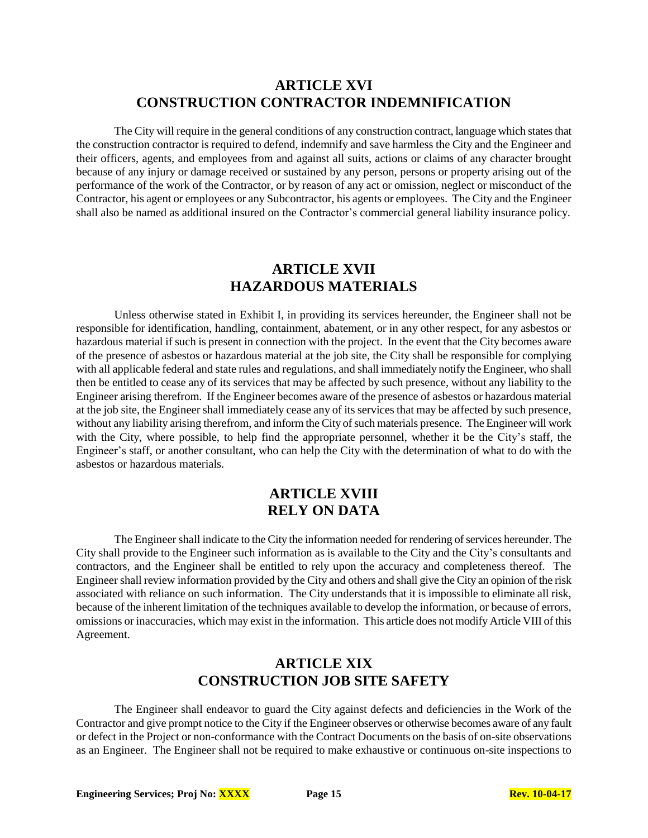#### **ARTICLE XVI CONSTRUCTION CONTRACTOR INDEMNIFICATION**

The City will require in the general conditions of any construction contract, language which states that the construction contractor is required to defend, indemnify and save harmless the City and the Engineer and their officers, agents, and employees from and against all suits, actions or claims of any character brought because of any injury or damage received or sustained by any person, persons or property arising out of the performance of the work of the Contractor, or by reason of any act or omission, neglect or misconduct of the Contractor, his agent or employees or any Subcontractor, his agents or employees. The City and the Engineer shall also be named as additional insured on the Contractor's commercial general liability insurance policy.

# **ARTICLE XVII HAZARDOUS MATERIALS**

Unless otherwise stated in Exhibit I, in providing its services hereunder, the Engineer shall not be responsible for identification, handling, containment, abatement, or in any other respect, for any asbestos or hazardous material if such is present in connection with the project. In the event that the City becomes aware of the presence of asbestos or hazardous material at the job site, the City shall be responsible for complying with all applicable federal and state rules and regulations, and shall immediately notify the Engineer, who shall then be entitled to cease any of its services that may be affected by such presence, without any liability to the Engineer arising therefrom. If the Engineer becomes aware of the presence of asbestos or hazardous material at the job site, the Engineer shall immediately cease any of its services that may be affected by such presence, without any liability arising therefrom, and inform the City of such materials presence. The Engineer will work with the City, where possible, to help find the appropriate personnel, whether it be the City's staff, the Engineer's staff, or another consultant, who can help the City with the determination of what to do with the asbestos or hazardous materials.

# **ARTICLE XVIII RELY ON DATA**

The Engineer shall indicate to the City the information needed for rendering of services hereunder. The City shall provide to the Engineer such information as is available to the City and the City's consultants and contractors, and the Engineer shall be entitled to rely upon the accuracy and completeness thereof. The Engineer shall review information provided by the City and others and shall give the City an opinion of the risk associated with reliance on such information. The City understands that it is impossible to eliminate all risk, because of the inherent limitation of the techniques available to develop the information, or because of errors, omissions or inaccuracies, which may exist in the information. This article does not modify Article VIII of this Agreement.

### **ARTICLE XIX CONSTRUCTION JOB SITE SAFETY**

The Engineer shall endeavor to guard the City against defects and deficiencies in the Work of the Contractor and give prompt notice to the City if the Engineer observes or otherwise becomes aware of any fault or defect in the Project or non-conformance with the Contract Documents on the basis of on-site observations as an Engineer. The Engineer shall not be required to make exhaustive or continuous on-site inspections to